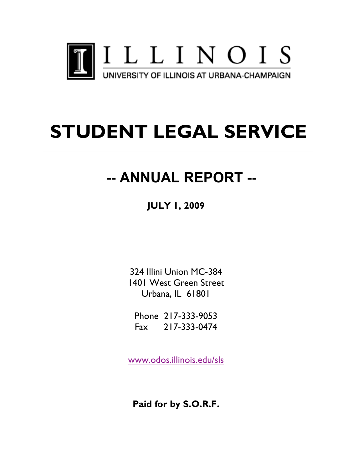

# **STUDENT LEGAL SERVICE**

**\_\_\_\_\_\_\_\_\_\_\_\_\_\_\_\_\_\_\_\_\_\_\_\_\_\_\_\_\_\_\_\_\_\_\_\_\_\_\_\_\_\_\_\_\_\_\_\_\_\_\_\_\_\_\_\_\_**

# **-- ANNUAL REPORT --**

**JULY 1, 2009**

324 Illini Union MC-384 1401 West Green Street Urbana, IL 61801

Phone 217-333-9053 Fax 217-333-0474

www.odos.illinois.edu/sls

**Paid for by S.O.R.F.**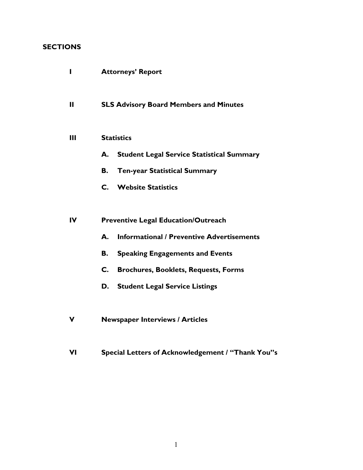# **SECTIONS**

| П            | <b>Attorneys' Report</b>                                      |
|--------------|---------------------------------------------------------------|
| $\mathbf{H}$ | <b>SLS Advisory Board Members and Minutes</b>                 |
| Ш            | <b>Statistics</b>                                             |
|              | <b>Student Legal Service Statistical Summary</b><br>А.        |
|              | <b>Ten-year Statistical Summary</b><br>В.                     |
|              | C. Website Statistics                                         |
|              |                                                               |
| $\mathbf{I}$ | <b>Preventive Legal Education/Outreach</b>                    |
|              | <b>Informational / Preventive Advertisements</b><br>А.        |
|              | <b>Speaking Engagements and Events</b><br>В.                  |
|              | $\mathsf{C}$ .<br><b>Brochures, Booklets, Requests, Forms</b> |
|              | <b>Student Legal Service Listings</b><br>D.                   |
|              |                                                               |
|              | <b>Newspaper Interviews / Articles</b>                        |

**VI Special Letters of Acknowledgement / "Thank You"s**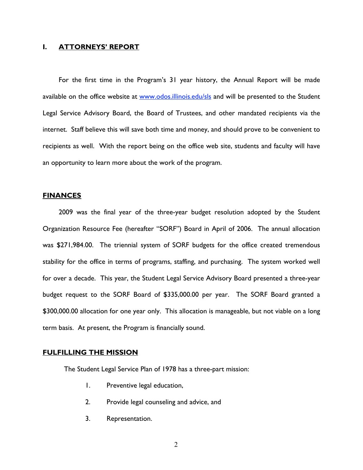#### **I. ATTORNEYS' REPORT**

For the first time in the Program's 31 year history, the Annual Report will be made available on the office website at www.odos.illinois.edu/sls and will be presented to the Student Legal Service Advisory Board, the Board of Trustees, and other mandated recipients via the internet. Staff believe this will save both time and money, and should prove to be convenient to recipients as well. With the report being on the office web site, students and faculty will have an opportunity to learn more about the work of the program.

#### **FINANCES**

2009 was the final year of the three-year budget resolution adopted by the Student Organization Resource Fee (hereafter "SORF") Board in April of 2006. The annual allocation was \$271,984.00. The triennial system of SORF budgets for the office created tremendous stability for the office in terms of programs, staffing, and purchasing. The system worked well for over a decade. This year, the Student Legal Service Advisory Board presented a three-year budget request to the SORF Board of \$335,000.00 per year. The SORF Board granted a \$300,000.00 allocation for one year only. This allocation is manageable, but not viable on a long term basis. At present, the Program is financially sound.

#### **FULFILLING THE MISSION**

The Student Legal Service Plan of 1978 has a three-part mission:

- 1. Preventive legal education,
- 2. Provide legal counseling and advice, and
- 3. Representation.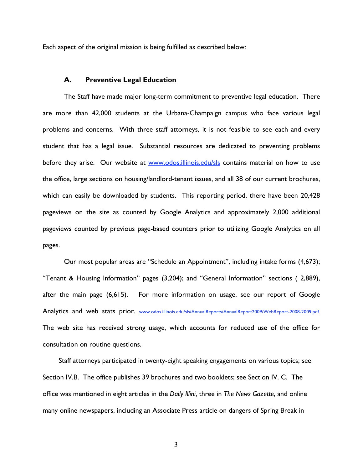Each aspect of the original mission is being fulfilled as described below:

#### **A. Preventive Legal Education**

The Staff have made major long-term commitment to preventive legal education. There are more than 42,000 students at the Urbana-Champaign campus who face various legal problems and concerns. With three staff attorneys, it is not feasible to see each and every student that has a legal issue. Substantial resources are dedicated to preventing problems before they arise. Our website at www.odos.illinois.edu/sls contains material on how to use the office, large sections on housing/landlord-tenant issues, and all 38 of our current brochures, which can easily be downloaded by students. This reporting period, there have been 20,428 pageviews on the site as counted by Google Analytics and approximately 2,000 additional pageviews counted by previous page-based counters prior to utilizing Google Analytics on all pages.

Our most popular areas are "Schedule an Appointment", including intake forms (4,673); "Tenant & Housing Information" pages (3,204); and "General Information" sections ( 2,889), after the main page (6,615). For more information on usage, see our report of Google Analytics and web stats prior. www.odos.illinois.edu/sls/AnnualReports/AnnualReport2009/WebReport-2008-2009.pdf. The web site has received strong usage, which accounts for reduced use of the office for consultation on routine questions.

Staff attorneys participated in twenty-eight speaking engagements on various topics; see Section IV.B. The office publishes 39 brochures and two booklets; see Section IV. C. The office was mentioned in eight articles in the *Daily Illini*, three in *The News Gazette*, and online many online newspapers, including an Associate Press article on dangers of Spring Break in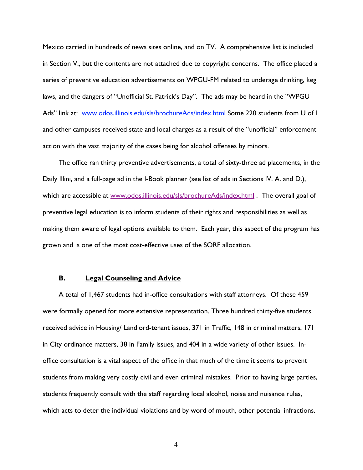Mexico carried in hundreds of news sites online, and on TV. A comprehensive list is included in Section V., but the contents are not attached due to copyright concerns. The office placed a series of preventive education advertisements on WPGU-FM related to underage drinking, keg laws, and the dangers of "Unofficial St. Patrick's Day". The ads may be heard in the "WPGU Ads" link at: www.odos.illinois.edu/sls/brochureAds/index.html Some 220 students from U of I and other campuses received state and local charges as a result of the "unofficial" enforcement action with the vast majority of the cases being for alcohol offenses by minors.

The office ran thirty preventive advertisements, a total of sixty-three ad placements, in the Daily Illini, and a full-page ad in the I-Book planner (see list of ads in Sections IV. A. and D.), which are accessible at www.odos.illinois.edu/sls/brochureAds/index.html . The overall goal of preventive legal education is to inform students of their rights and responsibilities as well as making them aware of legal options available to them. Each year, this aspect of the program has grown and is one of the most cost-effective uses of the SORF allocation.

#### **B. Legal Counseling and Advice**

A total of 1,467 students had in-office consultations with staff attorneys. Of these 459 were formally opened for more extensive representation. Three hundred thirty-five students received advice in Housing/ Landlord-tenant issues, 371 in Traffic, 148 in criminal matters, 171 in City ordinance matters, 38 in Family issues, and 404 in a wide variety of other issues. Inoffice consultation is a vital aspect of the office in that much of the time it seems to prevent students from making very costly civil and even criminal mistakes. Prior to having large parties, students frequently consult with the staff regarding local alcohol, noise and nuisance rules, which acts to deter the individual violations and by word of mouth, other potential infractions.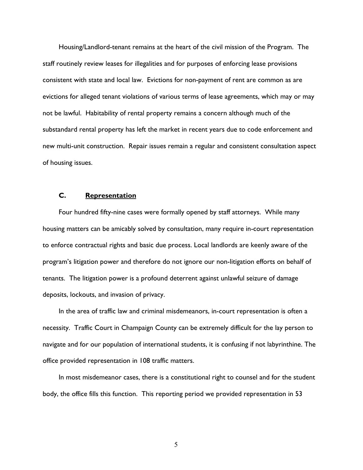Housing/Landlord-tenant remains at the heart of the civil mission of the Program. The staff routinely review leases for illegalities and for purposes of enforcing lease provisions consistent with state and local law. Evictions for non-payment of rent are common as are evictions for alleged tenant violations of various terms of lease agreements, which may or may not be lawful. Habitability of rental property remains a concern although much of the substandard rental property has left the market in recent years due to code enforcement and new multi-unit construction. Repair issues remain a regular and consistent consultation aspect of housing issues.

#### **C. Representation**

Four hundred fifty-nine cases were formally opened by staff attorneys. While many housing matters can be amicably solved by consultation, many require in-court representation to enforce contractual rights and basic due process. Local landlords are keenly aware of the program's litigation power and therefore do not ignore our non-litigation efforts on behalf of tenants. The litigation power is a profound deterrent against unlawful seizure of damage deposits, lockouts, and invasion of privacy.

In the area of traffic law and criminal misdemeanors, in-court representation is often a necessity. Traffic Court in Champaign County can be extremely difficult for the lay person to navigate and for our population of international students, it is confusing if not labyrinthine. The office provided representation in 108 traffic matters.

In most misdemeanor cases, there is a constitutional right to counsel and for the student body, the office fills this function. This reporting period we provided representation in 53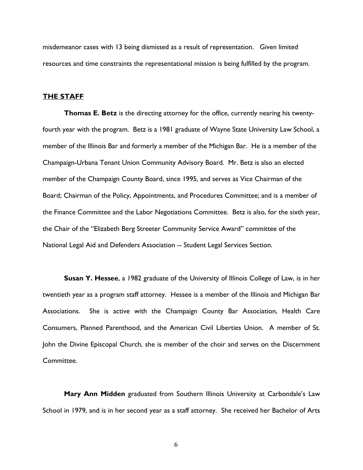misdemeanor cases with 13 being dismissed as a result of representation. Given limited resources and time constraints the representational mission is being fulfilled by the program.

#### **THE STAFF**

**Thomas E. Betz** is the directing attorney for the office, currently nearing his twentyfourth year with the program. Betz is a 1981 graduate of Wayne State University Law School, a member of the Illinois Bar and formerly a member of the Michigan Bar. He is a member of the Champaign-Urbana Tenant Union Community Advisory Board. Mr. Betz is also an elected member of the Champaign County Board, since 1995, and serves as Vice Chairman of the Board; Chairman of the Policy, Appointments, and Procedures Committee; and is a member of the Finance Committee and the Labor Negotiations Committee. Betz is also, for the sixth year, the Chair of the "Elizabeth Berg Streeter Community Service Award" committee of the National Legal Aid and Defenders Association -- Student Legal Services Section.

**Susan Y. Hessee**, a 1982 graduate of the University of Illinois College of Law, is in her twentieth year as a program staff attorney. Hessee is a member of the Illinois and Michigan Bar Associations. She is active with the Champaign County Bar Association, Health Care Consumers, Planned Parenthood, and the American Civil Liberties Union. A member of St. John the Divine Episcopal Church, she is member of the choir and serves on the Discernment Committee.

**Mary Ann Midden** graduated from Southern Illinois University at Carbondale's Law School in 1979, and is in her second year as a staff attorney. She received her Bachelor of Arts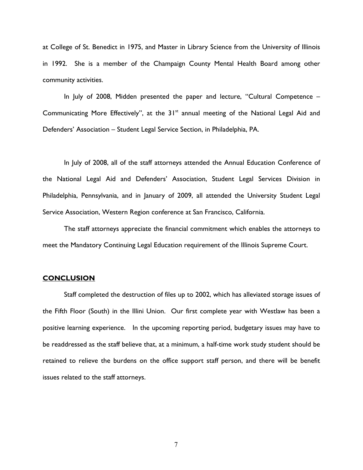at College of St. Benedict in 1975, and Master in Library Science from the University of Illinois in 1992. She is a member of the Champaign County Mental Health Board among other community activities.

In July of 2008, Midden presented the paper and lecture, "Cultural Competence – Communicating More Effectively", at the  $31<sup>st</sup>$  annual meeting of the National Legal Aid and Defenders' Association – Student Legal Service Section, in Philadelphia, PA.

In July of 2008, all of the staff attorneys attended the Annual Education Conference of the National Legal Aid and Defenders' Association, Student Legal Services Division in Philadelphia, Pennsylvania, and in January of 2009, all attended the University Student Legal Service Association, Western Region conference at San Francisco, California.

The staff attorneys appreciate the financial commitment which enables the attorneys to meet the Mandatory Continuing Legal Education requirement of the Illinois Supreme Court.

#### **CONCLUSION**

Staff completed the destruction of files up to 2002, which has alleviated storage issues of the Fifth Floor (South) in the Illini Union. Our first complete year with Westlaw has been a positive learning experience. In the upcoming reporting period, budgetary issues may have to be readdressed as the staff believe that, at a minimum, a half-time work study student should be retained to relieve the burdens on the office support staff person, and there will be benefit issues related to the staff attorneys.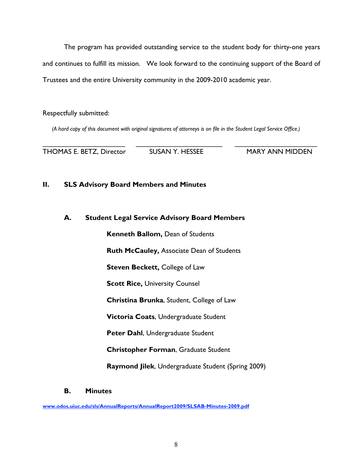The program has provided outstanding service to the student body for thirty-one years and continues to fulfill its mission. We look forward to the continuing support of the Board of Trustees and the entire University community in the 2009-2010 academic year.

Respectfully submitted:

*(A hard copy of this document with original signatures of attorneys is on file in the Student Legal Service Office.)*

THOMAS E. BETZ, Director SUSAN Y. HESSEE MARY ANN MIDDEN

 $\overline{\phantom{a}}$  , and the contribution of the contribution of the contribution of the contribution of the contribution of the contribution of the contribution of the contribution of the contribution of the contribution of the

## **II. SLS Advisory Board Members and Minutes**

#### **A. Student Legal Service Advisory Board Members**

**Kenneth Ballom,** Dean of Students **Ruth McCauley,** Associate Dean of Students

**Steven Beckett, College of Law** 

**Scott Rice, University Counsel** 

**Christina Brunka**, Student, College of Law

**Victoria Coats**, Undergraduate Student

**Peter Dahl**, Undergraduate Student

**Christopher Forman**, Graduate Student

**Raymond Jilek**, Undergraduate Student (Spring 2009)

**B. Minutes**

**www.odos.uiuc.edu/sls/AnnualReports/AnnualReport2009/SLSAB-Minutes-2009.pdf**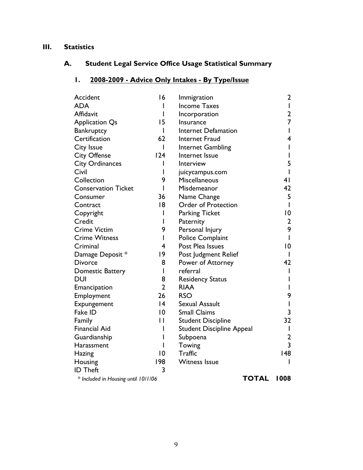# **III. Statistics**

# **A. Student Legal Service Office Usage Statistical Summary**

# **1. 2008-2009 - Advice Only Intakes - By Type/Issue**

| Accident                            | 16             | Immigration                      | 2              |
|-------------------------------------|----------------|----------------------------------|----------------|
| <b>ADA</b>                          | I              | <b>Income Taxes</b>              | I              |
| Affidavit                           | I              | Incorporation                    | 2              |
| <b>Application Qs</b>               | 15             | Insurance                        | 7              |
| Bankruptcy                          | I              | <b>Internet Defamation</b>       |                |
| Certification                       | 62             | Internet Fraud                   | 4              |
| <b>City Issue</b>                   | I              | Internet Gambling                |                |
| <b>City Offense</b>                 | 124            | Internet Issue                   |                |
| <b>City Ordinances</b>              | I              | Interview                        | 5              |
| Civil                               | I              | juicycampus.com                  |                |
| Collection                          | 9              | Miscellaneous                    | 4 <sub>1</sub> |
| <b>Conservation Ticket</b>          | I              | Misdemeanor                      | 42             |
| Consumer                            | 36             | Name Change                      | 5              |
| Contract                            | 8              | <b>Order of Protection</b>       | L              |
| Copyright                           | I              | <b>Parking Ticket</b>            | 10             |
| Credit                              | I              | Paternity                        | $\overline{2}$ |
| <b>Crime Victim</b>                 | 9              | Personal Injury                  | 9              |
| <b>Crime Witness</b>                | I              | Police Complaint                 |                |
| Criminal                            | 4              | Post Plea Issues                 | 0              |
| Damage Deposit *                    | 9              | Post Judgment Relief             |                |
| <b>Divorce</b>                      | 8              | Power of Attorney                | 42             |
| Domestic Battery                    | I              | referral                         |                |
| <b>DUI</b>                          | 8              | <b>Residency Status</b>          |                |
| Emancipation                        | $\overline{2}$ | <b>RIAA</b>                      |                |
| Employment                          | 26             | <b>RSO</b>                       | 9              |
| Expungement                         | 4              | Sexual Assault                   |                |
| Fake ID                             | $ 0\rangle$    | <b>Small Claims</b>              | 3              |
| Family                              | $\mathsf{L}$   | <b>Student Discipline</b>        | 32             |
| <b>Financial Aid</b>                |                | <b>Student Discipline Appeal</b> |                |
| Guardianship                        | ı              | Subpoena                         | 2              |
| Harassment                          |                | Towing                           | 3              |
| Hazing                              | $ 0\rangle$    | <b>Traffic</b>                   | 148            |
| Housing                             | 198            | <b>Witness Issue</b>             |                |
| <b>ID Theft</b>                     | 3              |                                  |                |
| * Included in Housing until 10/1/06 |                | <b>TOTAL</b>                     | 1008           |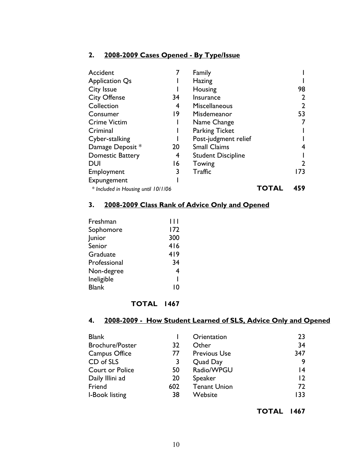# **2. 2008-2009 Cases Opened - By Type/Issue**

| Accident                            |    | Family                    |       |                |
|-------------------------------------|----|---------------------------|-------|----------------|
| <b>Application Qs</b>               |    | Hazing                    |       |                |
| City Issue                          |    | Housing                   |       | 98             |
| <b>City Offense</b>                 | 34 | Insurance                 |       | $\overline{2}$ |
| Collection                          | 4  | <b>Miscellaneous</b>      |       | $\overline{2}$ |
| Consumer                            | 19 | Misdemeanor               |       | 53             |
| <b>Crime Victim</b>                 |    | Name Change               |       |                |
| Criminal                            |    | <b>Parking Ticket</b>     |       |                |
| Cyber-stalking                      |    | Post-judgment relief      |       |                |
| Damage Deposit *                    | 20 | <b>Small Claims</b>       |       | 4              |
| <b>Domestic Battery</b>             | 4  | <b>Student Discipline</b> |       |                |
| <b>DUI</b>                          | 16 | Towing                    |       | $\overline{2}$ |
| Employment                          | 3  | <b>Traffic</b>            |       | 173            |
| Expungement                         |    |                           |       |                |
| * Included in Housing until 10/1/06 |    |                           | TOTAL | 459            |

#### **3. 2008-2009 Class Rank of Advice Only and Opened**

| Freshman     | 1 I I |
|--------------|-------|
| Sophomore    | 172   |
| Junior       | 300   |
| Senior       | 416   |
| Graduate     | 419   |
| Professional | 34    |
| Non-degree   | 4     |
| Ineligible   | ı     |
| <b>Blank</b> | ١٥    |
|              |       |

# **TOTAL 1467**

# **4. 2008-2009 - How Student Learned of SLS, Advice Only and Opened**

| <b>Blank</b>           |     | Orientation         | 23              |
|------------------------|-----|---------------------|-----------------|
| <b>Brochure/Poster</b> | 32  | Other               | 34              |
| Campus Office          | 77  | <b>Previous Use</b> | 347             |
| CD of SLS              | 3   | Quad Day            | 9               |
| Court or Police        | 50  | Radio/WPGU          | 14              |
| Daily Illini ad        | 20  | <b>Speaker</b>      | $\overline{12}$ |
| Friend                 | 602 | <b>Tenant Union</b> | 72              |
| I-Book listing         | 38  | Website             | 133             |

**TOTAL 1467**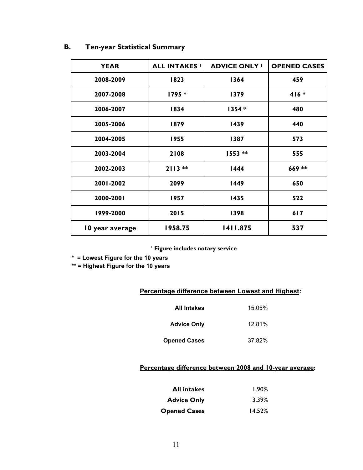| В.<br>Ten-year Statistical Summary |  |
|------------------------------------|--|
|------------------------------------|--|

| <b>YEAR</b>     | <b>ALL INTAKES '</b> | <b>ADVICE ONLY '</b> | <b>OPENED CASES</b> |
|-----------------|----------------------|----------------------|---------------------|
| 2008-2009       | 1823                 | 1364                 | 459                 |
| 2007-2008       | 1795 *               | 1379                 | $416*$              |
| 2006-2007       | 1834                 | $1354*$              | 480                 |
| 2005-2006       | 1879                 | 1439                 | 440                 |
| 2004-2005       | 1955                 | 1387                 | 573                 |
| 2003-2004       | 2108                 | $1553**$             | 555                 |
| 2002-2003       | $2113**$             | <b>1444</b>          | 669 **              |
| 2001-2002       | 2099                 | 1449                 | 650                 |
| 2000-2001       | 1957                 | 1435                 | 522                 |
| 1999-2000       | 2015                 | 1398                 | 617                 |
| 10 year average | 1958.75              | 1411.875             | 537                 |

 **1 Figure includes notary service**

**\* = Lowest Figure for the 10 years**

**\*\* = Highest Figure for the 10 years**

#### **Percentage difference between Lowest and Highest:**

| <b>All Intakes</b>  | 15.05% |
|---------------------|--------|
| <b>Advice Only</b>  | 12.81% |
| <b>Opened Cases</b> | 37.82% |

# **Percentage difference between 2008 and 10-year average:**

| <b>All intakes</b>  | 1.90%  |
|---------------------|--------|
| <b>Advice Only</b>  | 3.39%  |
| <b>Opened Cases</b> | 14.52% |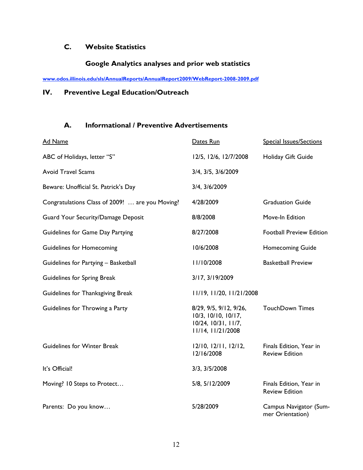# **C. Website Statistics**

# **Google Analytics analyses and prior web statistics**

**www.odos.illinois.edu/sls/AnnualReports/AnnualReport2009/WebReport-2008-2009.pdf**

# **IV. Preventive Legal Education/Outreach**

# **A. Informational / Preventive Advertisements**

| <b>Ad Name</b>                                  | Dates Run                                                                                 | <b>Special Issues/Sections</b>                   |
|-------------------------------------------------|-------------------------------------------------------------------------------------------|--------------------------------------------------|
| ABC of Holidays, letter "S"                     | 12/5, 12/6, 12/7/2008                                                                     | Holiday Gift Guide                               |
| <b>Avoid Travel Scams</b>                       | 3/4, 3/5, 3/6/2009                                                                        |                                                  |
| Beware: Unofficial St. Patrick's Day            | 3/4, 3/6/2009                                                                             |                                                  |
| Congratulations Class of 2009!  are you Moving? | 4/28/2009                                                                                 | <b>Graduation Guide</b>                          |
| Guard Your Security/Damage Deposit              | 8/8/2008                                                                                  | Move-In Edition                                  |
| Guidelines for Game Day Partying                | 8/27/2008                                                                                 | <b>Football Preview Edition</b>                  |
| <b>Guidelines for Homecoming</b>                | 10/6/2008                                                                                 | <b>Homecoming Guide</b>                          |
| Guidelines for Partying - Basketball            | 11/10/2008                                                                                | <b>Basketball Preview</b>                        |
| Guidelines for Spring Break                     | 3/17, 3/19/2009                                                                           |                                                  |
| Guidelines for Thanksgiving Break               | 11/19, 11/20, 11/21/2008                                                                  |                                                  |
| Guidelines for Throwing a Party                 | 8/29, 9/5, 9/12, 9/26,<br>10/3, 10/10, 10/17,<br>10/24, 10/31, 11/7,<br>11/14, 11/21/2008 | <b>TouchDown Times</b>                           |
| <b>Guidelines for Winter Break</b>              | $12/10$ , $12/11$ , $12/12$ ,<br>12/16/2008                                               | Finals Edition, Year in<br><b>Review Edition</b> |
| It's Official!                                  | 3/3, 3/5/2008                                                                             |                                                  |
| Moving? 10 Steps to Protect                     | 5/8, 5/12/2009                                                                            | Finals Edition, Year in<br><b>Review Edition</b> |
| Parents: Do you know                            | 5/28/2009                                                                                 | Campus Navigator (Sum-<br>mer Orientation)       |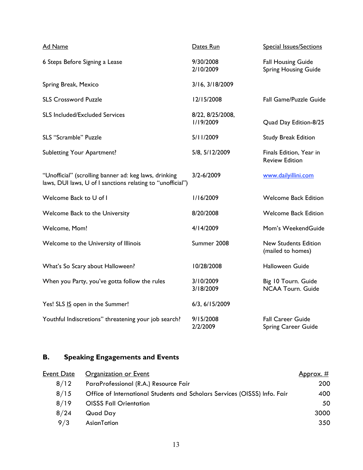| <b>Ad Name</b>                                                                                                      | Dates Run                     | <b>Special Issues/Sections</b>                           |
|---------------------------------------------------------------------------------------------------------------------|-------------------------------|----------------------------------------------------------|
| 6 Steps Before Signing a Lease                                                                                      | 9/30/2008<br>2/10/2009        | <b>Fall Housing Guide</b><br><b>Spring Housing Guide</b> |
| Spring Break, Mexico                                                                                                | 3/16, 3/18/2009               |                                                          |
| <b>SLS Crossword Puzzle</b>                                                                                         | 12/15/2008                    | Fall Game/Puzzle Guide                                   |
| <b>SLS Included/Excluded Services</b>                                                                               | 8/22, 8/25/2008,<br>1/19/2009 | Quad Day Edition-8/25                                    |
| <b>SLS "Scramble" Puzzle</b>                                                                                        | 5/11/2009                     | <b>Study Break Edition</b>                               |
| <b>Subletting Your Apartment?</b>                                                                                   | 5/8, 5/12/2009                | Finals Edition, Year in<br><b>Review Edition</b>         |
| "Unofficial" (scrolling banner ad: keg laws, drinking<br>laws, DUI laws, U of I sanctions relating to "unofficial") | 3/2-6/2009                    | www.dailyillini.com                                      |
| Welcome Back to U of I                                                                                              | I/I6/2009                     | <b>Welcome Back Edition</b>                              |
| Welcome Back to the University                                                                                      | 8/20/2008                     | <b>Welcome Back Edition</b>                              |
| Welcome, Mom!                                                                                                       | 4/14/2009                     | Mom's WeekendGuide                                       |
| Welcome to the University of Illinois                                                                               | Summer 2008                   | <b>New Students Edition</b><br>(mailed to homes)         |
| What's So Scary about Halloween?                                                                                    | 10/28/2008                    | Halloween Guide                                          |
| When you Party, you've gotta follow the rules                                                                       | 3/10/2009<br>3/18/2009        | Big 10 Tourn. Guide<br><b>NCAA Tourn. Guide</b>          |
| Yes! SLS IS open in the Summer!                                                                                     | 6/3, 6/15/2009                |                                                          |
| Youthful Indiscretions" threatening your job search?                                                                | 9/15/2008<br>2/2/2009         | <b>Fall Career Guide</b><br><b>Spring Career Guide</b>   |

# **B. Speaking Engagements and Events**

| Event Date | Organization or Event                                                     | Approx. # |
|------------|---------------------------------------------------------------------------|-----------|
| 8/12       | ParaProfessional (R.A.) Resource Fair                                     | 200       |
| 8/15       | Office of International Students and Scholars Services (OISSS) Info. Fair | 400       |
| 8/19       | <b>OISSS Fall Orientation</b>                                             | 50        |
| 8/24       | Quad Day                                                                  | 3000      |
| 9/3        | AsianTation                                                               | 350       |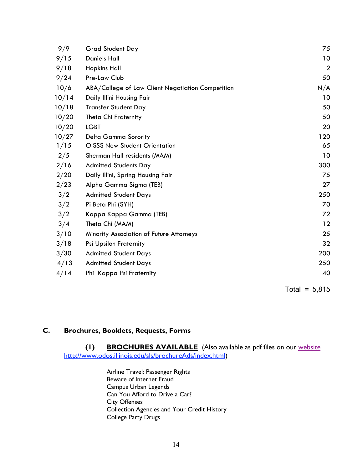| 9/9   | <b>Grad Student Day</b>                           | 75             |
|-------|---------------------------------------------------|----------------|
| 9/15  | <b>Daniels Hall</b>                               | 10             |
| 9/18  | <b>Hopkins Hall</b>                               | $\overline{2}$ |
| 9/24  | Pre-Law Club                                      | 50             |
| 10/6  | ABA/College of Law Client Negotiation Competition | N/A            |
| 10/14 | Daily Illini Housing Fair                         | 10             |
| 10/18 | <b>Transfer Student Day</b>                       | 50             |
| 10/20 | Theta Chi Fraternity                              | 50             |
| 10/20 | <b>LGBT</b>                                       | 20             |
| 10/27 | Delta Gamma Sorority                              | 120            |
| 1/15  | <b>OISSS New Student Orientation</b>              | 65             |
| 2/5   | Sherman Hall residents (MAM)                      | 10             |
| 2/16  | <b>Admitted Students Day</b>                      | 300            |
| 2/20  | Daily Illini, Spring Housing Fair                 | 75             |
| 2/23  | Alpha Gamma Sigma (TEB)                           | 27             |
| 3/2   | <b>Admitted Student Days</b>                      | 250            |
| 3/2   | Pi Beta Phi (SYH)                                 | 70             |
| 3/2   | Kappa Kappa Gamma (TEB)                           | 72             |
| 3/4   | Theta Chi (MAM)                                   | 12             |
| 3/10  | Minority Association of Future Attorneys          | 25             |
| 3/18  | <b>Psi Upsilon Fraternity</b>                     | 32             |
| 3/30  | <b>Admitted Student Days</b>                      | 200            |
| 4/13  | <b>Admitted Student Days</b>                      | 250            |
| 4/14  | Phi Kappa Psi Fraternity                          | 40             |

Total =  $5,815$ 

# **C. Brochures, Booklets, Requests, Forms**

**(1) BROCHURES AVAILABLE** (Also available as pdf files on our website http://www.odos.illinois.edu/sls/brochureAds/index.html)

> Airline Travel: Passenger Rights Beware of Internet Fraud Campus Urban Legends Can You Afford to Drive a Car? City Offenses Collection Agencies and Your Credit History College Party Drugs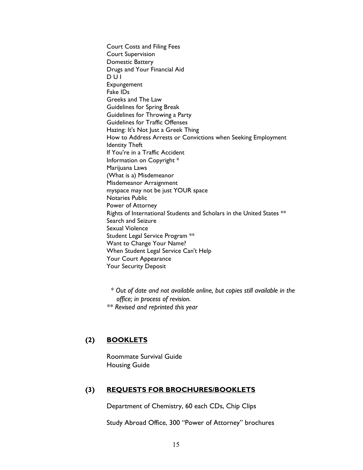Court Costs and Filing Fees Court Supervision Domestic Battery Drugs and Your Financial Aid D U I Expungement Fake IDs Greeks and The Law Guidelines for Spring Break Guidelines for Throwing a Party Guidelines for Traffic Offenses Hazing: It's Not Just a Greek Thing How to Address Arrests or Convictions when Seeking Employment Identity Theft If You're in a Traffic Accident Information on Copyright \* Marijuana Laws (What is a) Misdemeanor Misdemeanor Arraignment myspace may not be just YOUR space Notaries Public Power of Attorney Rights of International Students and Scholars in the United States \*\* Search and Seizure Sexual Violence Student Legal Service Program \*\* Want to Change Your Name? When Student Legal Service Can't Help Your Court Appearance Your Security Deposit

 *\* Out of date and not available online, but copies still available in the office; in process of revision.*

*\*\* Revised and reprinted this year*

#### **(2) BOOKLETS**

Roommate Survival Guide Housing Guide

#### **(3) REQUESTS FOR BROCHURES/BOOKLETS**

Department of Chemistry, 60 each CDs, Chip Clips

Study Abroad Office, 300 "Power of Attorney" brochures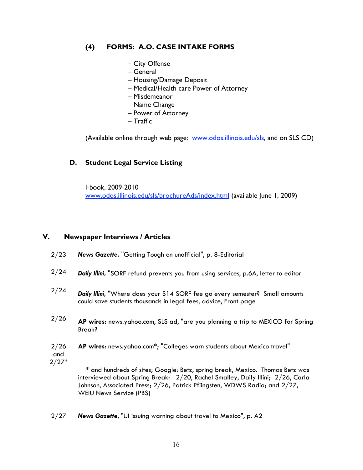# **(4) FORMS: A.O. CASE INTAKE FORMS**

- City Offense
- General
- Housing/Damage Deposit
- Medical/Health care Power of Attorney
- Misdemeanor
- Name Change
- Power of Attorney
- Traffic

(Available online through web page: www.odos.illinois.edu/sls, and on SLS CD)

# **D. Student Legal Service Listing**

I-book, 2009-2010 www.odos.illinois.edu/sls/brochureAds/index.html (available June 1, 2009)

## **V. Newspaper Interviews / Articles**

- 2/23 *News Gazette***,** "Getting Tough on unofficial", p. 8-Editorial
- 2/24 *Daily Illini***,** "SORF refund prevents you from using services, p.6A, letter to editor
- 2/24 *Daily Illini***,** "Where does your \$14 SORF fee go every semester? Small amounts could save students thousands in legal fees, advice, Front page
- 2/26 **AP wires:** news.yahoo.com, SLS ad, "are you planning a trip to MEXICO for Spring Break?
- 2/26 **AP wires**: news.yahoo.com\*; "Colleges warn students about Mexico travel"
- and 2/27\*

 \* and hundreds of sites; Google: Betz, spring break, Mexico. Thomas Betz was interviewed about Spring Break: 2/20, Rachel Smalley, Daily Illini; 2/26, Carla Johnson, Associated Press; 2/26, Patrick Pfiingsten, WDWS Radio; and 2/27, WEIU News Service (PBS)

2/27 *News Gazette*, "UI issuing warning about travel to Mexico", p. A2